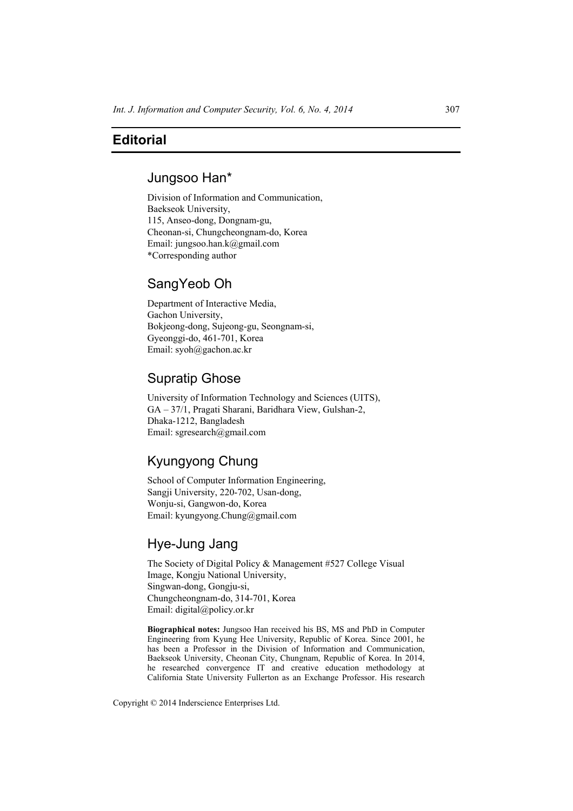### **Editorial**

### Jungsoo Han\*

Division of Information and Communication, Baekseok University, 115, Anseo-dong, Dongnam-gu, Cheonan-si, Chungcheongnam-do, Korea Email: jungsoo.han.k@gmail.com \*Corresponding author

### SangYeob Oh

Department of Interactive Media, Gachon University, Bokjeong-dong, Sujeong-gu, Seongnam-si, Gyeonggi-do, 461-701, Korea Email: syoh@gachon.ac.kr

## Supratip Ghose

University of Information Technology and Sciences (UITS), GA – 37/1, Pragati Sharani, Baridhara View, Gulshan-2, Dhaka-1212, Bangladesh Email: sgresearch@gmail.com

# Kyungyong Chung

School of Computer Information Engineering, Sangji University, 220-702, Usan-dong, Wonju-si, Gangwon-do, Korea Email: kyungyong.Chung@gmail.com

### Hye-Jung Jang

The Society of Digital Policy & Management #527 College Visual Image, Kongju National University, Singwan-dong, Gongju-si, Chungcheongnam-do, 314-701, Korea Email: digital@policy.or.kr

**Biographical notes:** Jungsoo Han received his BS, MS and PhD in Computer Engineering from Kyung Hee University, Republic of Korea. Since 2001, he has been a Professor in the Division of Information and Communication, Baekseok University, Cheonan City, Chungnam, Republic of Korea. In 2014, he researched convergence IT and creative education methodology at California State University Fullerton as an Exchange Professor. His research

Copyright © 2014 Inderscience Enterprises Ltd.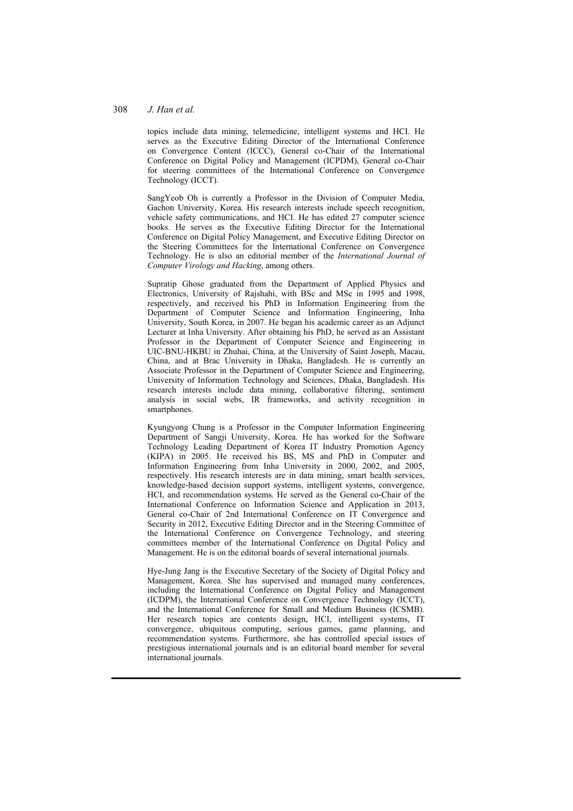#### 308 *J. Han et al.*

topics include data mining, telemedicine, intelligent systems and HCI. He serves as the Executive Editing Director of the International Conference on Convergence Content (ICCC), General co-Chair of the International Conference on Digital Policy and Management (ICPDM), General co-Chair for steering committees of the International Conference on Convergence Technology (ICCT).

SangYeob Oh is currently a Professor in the Division of Computer Media, Gachon University, Korea. His research interests include speech recognition, vehicle safety communications, and HCI. He has edited 27 computer science books. He serves as the Executive Editing Director for the International Conference on Digital Policy Management, and Executive Editing Director on the Steering Committees for the International Conference on Convergence Technology. He is also an editorial member of the *International Journal of Computer Virology and Hacking*, among others.

Supratip Ghose graduated from the Department of Applied Physics and Electronics, University of Rajshahi, with BSc and MSc in 1995 and 1998, respectively, and received his PhD in Information Engineering from the Department of Computer Science and Information Engineering, Inha University, South Korea, in 2007. He began his academic career as an Adjunct Lecturer at Inha University. After obtaining his PhD, he served as an Assistant Professor in the Department of Computer Science and Engineering in UIC-BNU-HKBU in Zhuhai, China, at the University of Saint Joseph, Macau, China, and at Brac University in Dhaka, Bangladesh. He is currently an Associate Professor in the Department of Computer Science and Engineering, University of Information Technology and Sciences, Dhaka, Bangladesh. His research interests include data mining, collaborative filtering, sentiment analysis in social webs, IR frameworks, and activity recognition in smartphones.

Kyungyong Chung is a Professor in the Computer Information Engineering Department of Sangji University, Korea. He has worked for the Software Technology Leading Department of Korea IT Industry Promotion Agency (KIPA) in 2005. He received his BS, MS and PhD in Computer and Information Engineering from Inha University in 2000, 2002, and 2005, respectively. His research interests are in data mining, smart health services, knowledge-based decision support systems, intelligent systems, convergence, HCI, and recommendation systems. He served as the General co-Chair of the International Conference on Information Science and Application in 2013, General co-Chair of 2nd International Conference on IT Convergence and Security in 2012, Executive Editing Director and in the Steering Committee of the International Conference on Convergence Technology, and steering committees member of the International Conference on Digital Policy and Management. He is on the editorial boards of several international journals.

Hye-Jung Jang is the Executive Secretary of the Society of Digital Policy and Management, Korea. She has supervised and managed many conferences, including the International Conference on Digital Policy and Management (ICDPM), the International Conference on Convergence Technology (ICCT), and the International Conference for Small and Medium Business (ICSMB). Her research topics are contents design, HCI, intelligent systems, IT convergence, ubiquitous computing, serious games, game planning, and recommendation systems. Furthermore, she has controlled special issues of prestigious international journals and is an editorial board member for several international journals.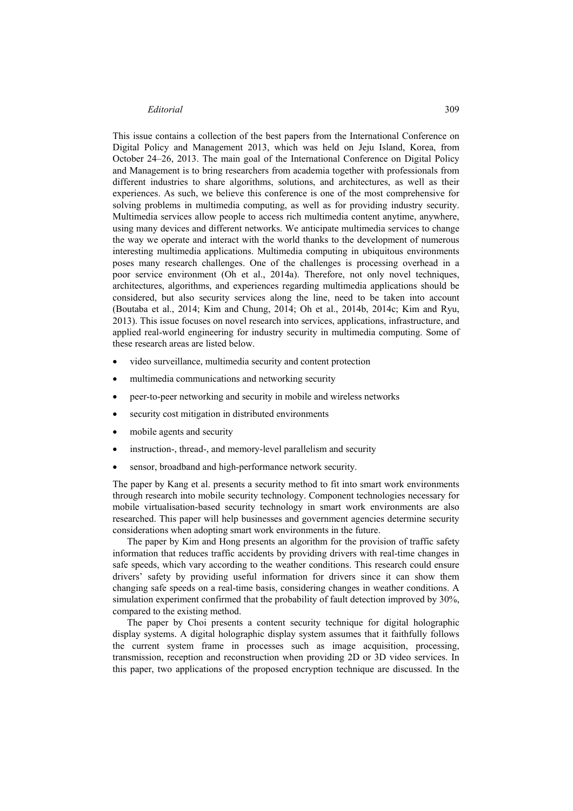#### *Editorial* 309

This issue contains a collection of the best papers from the International Conference on Digital Policy and Management 2013, which was held on Jeju Island, Korea, from October 24–26, 2013. The main goal of the International Conference on Digital Policy and Management is to bring researchers from academia together with professionals from different industries to share algorithms, solutions, and architectures, as well as their experiences. As such, we believe this conference is one of the most comprehensive for solving problems in multimedia computing, as well as for providing industry security. Multimedia services allow people to access rich multimedia content anytime, anywhere, using many devices and different networks. We anticipate multimedia services to change the way we operate and interact with the world thanks to the development of numerous interesting multimedia applications. Multimedia computing in ubiquitous environments poses many research challenges. One of the challenges is processing overhead in a poor service environment (Oh et al., 2014a). Therefore, not only novel techniques, architectures, algorithms, and experiences regarding multimedia applications should be considered, but also security services along the line, need to be taken into account (Boutaba et al., 2014; Kim and Chung, 2014; Oh et al., 2014b, 2014c; Kim and Ryu, 2013). This issue focuses on novel research into services, applications, infrastructure, and applied real-world engineering for industry security in multimedia computing. Some of these research areas are listed below.

- video surveillance, multimedia security and content protection
- multimedia communications and networking security
- peer-to-peer networking and security in mobile and wireless networks
- security cost mitigation in distributed environments
- mobile agents and security
- instruction-, thread-, and memory-level parallelism and security
- sensor, broadband and high-performance network security.

The paper by Kang et al. presents a security method to fit into smart work environments through research into mobile security technology. Component technologies necessary for mobile virtualisation-based security technology in smart work environments are also researched. This paper will help businesses and government agencies determine security considerations when adopting smart work environments in the future.

The paper by Kim and Hong presents an algorithm for the provision of traffic safety information that reduces traffic accidents by providing drivers with real-time changes in safe speeds, which vary according to the weather conditions. This research could ensure drivers' safety by providing useful information for drivers since it can show them changing safe speeds on a real-time basis, considering changes in weather conditions. A simulation experiment confirmed that the probability of fault detection improved by 30%, compared to the existing method.

The paper by Choi presents a content security technique for digital holographic display systems. A digital holographic display system assumes that it faithfully follows the current system frame in processes such as image acquisition, processing, transmission, reception and reconstruction when providing 2D or 3D video services. In this paper, two applications of the proposed encryption technique are discussed. In the